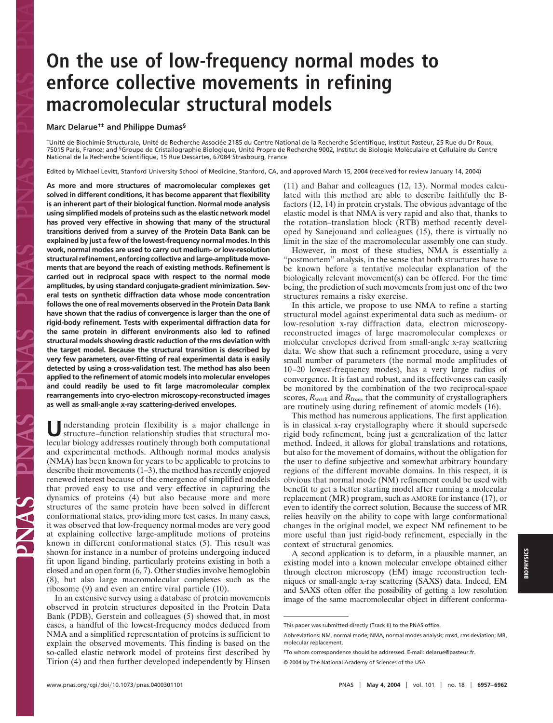# **On the use of low-frequency normal modes to enforce collective movements in refining macromolecular structural models**

## **Marc Delarue†‡ and Philippe Dumas§**

<sup>†</sup>Unité de Biochimie Structurale, Unité de Recherche Associée 2185 du Centre National de la Recherche Scientifique, Institut Pasteur, 25 Rue du Dr Roux, 75015 Paris, France; and <sup>§</sup>Groupe de Cristallographie Biologique, Unité Propre de Recherche 9002, Institut de Biologie Moléculaire et Cellulaire du Centre National de la Recherche Scientifique, 15 Rue Descartes, 67084 Strasbourg, France

Edited by Michael Levitt, Stanford University School of Medicine, Stanford, CA, and approved March 15, 2004 (received for review January 14, 2004)

**As more and more structures of macromolecular complexes get solved in different conditions, it has become apparent that flexibility is an inherent part of their biological function. Normal mode analysis using simplified models of proteins such as the elastic network model has proved very effective in showing that many of the structural transitions derived from a survey of the Protein Data Bank can be explained by just a few of the lowest-frequency normal modes. In this work, normal modes are used to carry out medium- or low-resolution structural refinement, enforcing collective and large-amplitude movements that are beyond the reach of existing methods. Refinement is carried out in reciprocal space with respect to the normal mode amplitudes, by using standard conjugate-gradient minimization. Several tests on synthetic diffraction data whose mode concentration follows the one of real movements observed in the Protein Data Bank have shown that the radius of convergence is larger than the one of rigid-body refinement. Tests with experimental diffraction data for the same protein in different environments also led to refined structural models showing drastic reduction of the rms deviation with the target model. Because the structural transition is described by very few parameters, over-fitting of real experimental data is easily detected by using a cross-validation test. The method has also been applied to the refinement of atomic models into molecular envelopes and could readily be used to fit large macromolecular complex rearrangements into cryo-electron microscopy-reconstructed images as well as small-angle x-ray scattering-derived envelopes.**

**U**nderstanding protein flexibility is a major challenge in structure–function relationship studies that structural molecular biology addresses routinely through both computational and experimental methods. Although normal modes analysis (NMA) has been known for years to be applicable to proteins to describe their movements (1–3), the method has recently enjoyed renewed interest because of the emergence of simplified models that proved easy to use and very effective in capturing the dynamics of proteins (4) but also because more and more structures of the same protein have been solved in different conformational states, providing more test cases. In many cases, it was observed that low-frequency normal modes are very good at explaining collective large-amplitude motions of proteins known in different conformational states (5). This result was shown for instance in a number of proteins undergoing induced fit upon ligand binding, particularly proteins existing in both a closed and an open form (6, 7). Other studies involve hemoglobin (8), but also large macromolecular complexes such as the ribosome (9) and even an entire viral particle (10).

In an extensive survey using a database of protein movements observed in protein structures deposited in the Protein Data Bank (PDB), Gerstein and colleagues (5) showed that, in most cases, a handful of the lowest-frequency modes deduced from NMA and a simplified representation of proteins is sufficient to explain the observed movements. This finding is based on the so-called elastic network model of proteins first described by Tirion (4) and then further developed independently by Hinsen (11) and Bahar and colleagues (12, 13). Normal modes calculated with this method are able to describe faithfully the Bfactors (12, 14) in protein crystals. The obvious advantage of the elastic model is that NMA is very rapid and also that, thanks to the rotation–translation block (RTB) method recently developed by Sanejouand and colleagues (15), there is virtually no limit in the size of the macromolecular assembly one can study.

However, in most of these studies, NMA is essentially a ''postmortem'' analysis, in the sense that both structures have to be known before a tentative molecular explanation of the biologically relevant movement(s) can be offered. For the time being, the prediction of such movements from just one of the two structures remains a risky exercise.

In this article, we propose to use NMA to refine a starting structural model against experimental data such as medium- or low-resolution x-ray diffraction data, electron microscopyreconstructed images of large macromolecular complexes or molecular envelopes derived from small-angle x-ray scattering data. We show that such a refinement procedure, using a very small number of parameters (the normal mode amplitudes of 10–20 lowest-frequency modes), has a very large radius of convergence. It is fast and robust, and its effectiveness can easily be monitored by the combination of the two reciprocal-space scores, *R*work and *R*free, that the community of crystallographers are routinely using during refinement of atomic models (16).

This method has numerous applications. The first application is in classical x-ray crystallography where it should supersede rigid body refinement, being just a generalization of the latter method. Indeed, it allows for global translations and rotations, but also for the movement of domains, without the obligation for the user to define subjective and somewhat arbitrary boundary regions of the different movable domains. In this respect, it is obvious that normal mode (NM) refinement could be used with benefit to get a better starting model after running a molecular replacement (MR) program, such as AMORE for instance (17), or even to identify the correct solution. Because the success of MR relies heavily on the ability to cope with large conformational changes in the original model, we expect NM refinement to be more useful than just rigid-body refinement, especially in the context of structural genomics.

A second application is to deform, in a plausible manner, an existing model into a known molecular envelope obtained either through electron microscopy (EM) image reconstruction techniques or small-angle x-ray scattering (SAXS) data. Indeed, EM and SAXS often offer the possibility of getting a low resolution image of the same macromolecular object in different conforma-

This paper was submitted directly (Track II) to the PNAS office.

Abbreviations: NM, normal mode; NMA, normal modes analysis; rmsd, rms deviation; MR, molecular replacement.

<sup>‡</sup>To whom correspondence should be addressed. E-mail: delarue@pasteur.fr.

<sup>© 2004</sup> by The National Academy of Sciences of the USA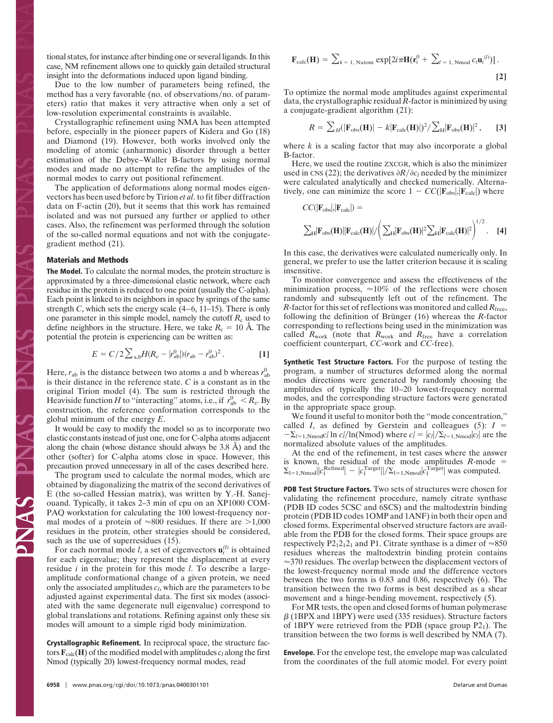tional states, for instance after binding one or several ligands. In this case, NM refinement allows one to quickly gain detailed structural insight into the deformations induced upon ligand binding.

Due to the low number of parameters being refined, the method has a very favorable (no. of observations/no. of parameters) ratio that makes it very attractive when only a set of low-resolution experimental constraints is available.

Crystallographic refinement using NMA has been attempted before, especially in the pioneer papers of Kidera and Go (18) and Diamond (19). However, both works involved only the modeling of atomic (anharmonic) disorder through a better estimation of the Debye–Waller B-factors by using normal modes and made no attempt to refine the amplitudes of the normal modes to carry out positional refinement.

The application of deformations along normal modes eigenvectors has been used before by Tirion *et al*. to fit fiber diffraction data on F-actin (20), but it seems that this work has remained isolated and was not pursued any further or applied to other cases. Also, the refinement was performed through the solution of the so-called normal equations and not with the conjugategradient method (21).

### **Materials and Methods**

ANAS PA

**The Model.** To calculate the normal modes, the protein structure is approximated by a three-dimensional elastic network, where each residue in the protein is reduced to one point (usually the C-alpha). Each point is linked to its neighbors in space by springs of the same strength *C*, which sets the energy scale  $(4-6, 11-15)$ . There is only one parameter in this simple model, namely the cutoff  $R_c$  used to define neighbors in the structure. Here, we take  $R_c = 10$  Å. The potential the protein is experiencing can be written as:

$$
E = C/2 \sum_{a,b} H(R_c - |r_{ab}^0|)(r_{ab} - r_{ab}^0)^2.
$$
 [1]

Here,  $r_{ab}$  is the distance between two atoms a and b whereas  $r_{ab}^0$ is their distance in the reference state. *C* is a constant as in the original Tirion model (4). The sum is restricted through the Heaviside function *H* to "interacting" atoms, i.e., if  $r_{ab}^0 < R_c$ . By construction, the reference conformation corresponds to the global minimum of the energy *E*.

It would be easy to modify the model so as to incorporate two elastic constants instead of just one, one for C-alpha atoms adjacent along the chain (whose distance should always be 3.8 Å) and the other (softer) for C-alpha atoms close in space. However, this precaution proved unnecessary in all of the cases described here.

The program used to calculate the normal modes, which are obtained by diagonalizing the matrix of the second derivatives of E (the so-called Hessian matrix), was written by Y.-H. Sanejouand. Typically, it takes 2–3 min of cpu on an XP1000 COM-PAQ workstation for calculating the 100 lowest-frequency normal modes of a protein of  $\approx 800$  residues. If there are  $>1,000$ residues in the protein, other strategies should be considered, such as the use of superresidues  $(15)$ .

For each normal mode *l*, a set of eigenvectors  $\mathbf{u}_i^{(l)}$  is obtained for each eigenvalue; they represent the displacement at every residue *i* in the protein for this mode *l*. To describe a largeamplitude conformational change of a given protein, we need only the associated amplitudes *cl*, which are the parameters to be adjusted against experimental data. The first six modes (associated with the same degenerate null eigenvalue) correspond to global translations and rotations. Refining against only these six modes will amount to a simple rigid body minimization.

**Crystallographic Refinement.** In reciprocal space, the structure factors  $\mathbf{F}_{\text{calc}}(\mathbf{H})$  of the modified model with amplitudes  $c_l$  along the first Nmod (typically 20) lowest-frequency normal modes, read

$$
\mathbf{F}_{\text{calc}}(\mathbf{H}) = \sum_{i=1, \text{ Natom}} \exp[2i\pi \mathbf{H}(\mathbf{r}_i^0 + \sum_{l=1, \text{ Nmod}} c_l \mathbf{u}_i^{(l)})].
$$
\n[2]

To optimize the normal mode amplitudes against experimental data, the crystallographic residual *R*-factor is minimized by using a conjugate-gradient algorithm (21):

$$
R = \sum_{H} (|\mathbf{F}_{obs}(\mathbf{H})| - k|\mathbf{F}_{calc}(\mathbf{H})|)^2 / \sum_{H} |\mathbf{F}_{obs}(\mathbf{H})|^2, \quad [3]
$$

where  $k$  is a scaling factor that may also incorporate a global B-factor.

Here, we used the routine ZXCGR, which is also the minimizer used in CNS (22); the derivatives  $\partial R/\partial c_l$  needed by the minimizer were calculated analytically and checked numerically. Alternatively, one can minimize the score  $1 - CC(|\mathbf{F}_{obs}|, |\mathbf{F}_{calc}|)$  where

$$
CC(|\mathbf{F}_{\rm obs}|, |\mathbf{F}_{\rm calc}|) =
$$
  

$$
\sum_{\rm H} |\mathbf{F}_{\rm obs}(\mathbf{H})||\mathbf{F}_{\rm calc}(\mathbf{H})| / (\sum_{\rm H} |\mathbf{F}_{\rm obs}(\mathbf{H})|^2 \sum_{\rm H} |\mathbf{F}_{\rm calc}(\mathbf{H})|^2)^{1/2}.
$$
 [4]

In this case, the derivatives were calculated numerically only. In general, we prefer to use the latter criterion because it is scaling insensitive.

To monitor convergence and assess the effectiveness of the minimization process,  $\approx 10\%$  of the reflections were chosen randomly and subsequently left out of the refinement. The *R*-factor for this set of reflections was monitored and called *R*free, following the definition of Brünger  $(16)$  whereas the *R*-factor corresponding to reflections being used in the minimization was called  $R_{work}$  (note that  $R_{work}$  and  $R_{free}$  have a correlation coefficient counterpart, *CC*-work and *CC*-free).

**Synthetic Test Structure Factors.** For the purpose of testing the program, a number of structures deformed along the normal modes directions were generated by randomly choosing the amplitudes of typically the 10–20 lowest-frequency normal modes, and the corresponding structure factors were generated in the appropriate space group.

We found it useful to monitor both the ''mode concentration,'' called *I*, as defined by Gerstein and colleagues (5):  $I =$  $-\Sigma_{l=1,\text{Nmod}} c_l' \ln c_l'/\ln(\text{Nmod})$  where  $c_l' = |c_l|/\Sigma_{l=1,\text{Nmod}} |c_l|$  are the normalized absolute values of the amplitudes.

At the end of the refinement, in test cases where the answer is known, the residual of the mode amplitudes  $R$ -mode =  $\Sigma_{1=1, Nmod}$   $\left| c_1^{\text{Refined}} \right| - \left| c_1^{\text{Target}} \right| / \Sigma_{1=1, Nmod} \right| c_1^{\text{Target}}$  was computed.

**PDB Test Structure Factors.** Two sets of structures were chosen for validating the refinement procedure, namely citrate synthase (PDB ID codes 5CSC and 6SCS) and the maltodextrin binding protein (PDB ID codes 1OMP and 1ANF) in both their open and closed forms. Experimental observed structure factors are available from the PDB for the closed forms. Their space groups are respectively P2<sub>1</sub>2<sub>1</sub>2<sub>1</sub> and P1. Citrate synthase is a dimer of  $\approx 850$ residues whereas the maltodextrin binding protein contains  $\approx$  370 residues. The overlap between the displacement vectors of the lowest-frequency normal mode and the difference vectors between the two forms is 0.83 and 0.86, respectively (6). The transition between the two forms is best described as a shear movement and a hinge-bending movement, respectively (5).

For MR tests, the open and closed forms of human polymerase  $\beta$  (1BPX and 1BPY) were used (335 residues). Structure factors of 1BPY were retrieved from the PDB (space group  $P2_1$ ). The transition between the two forms is well described by NMA (7).

**Envelope.** For the envelope test, the envelope map was calculated from the coordinates of the full atomic model. For every point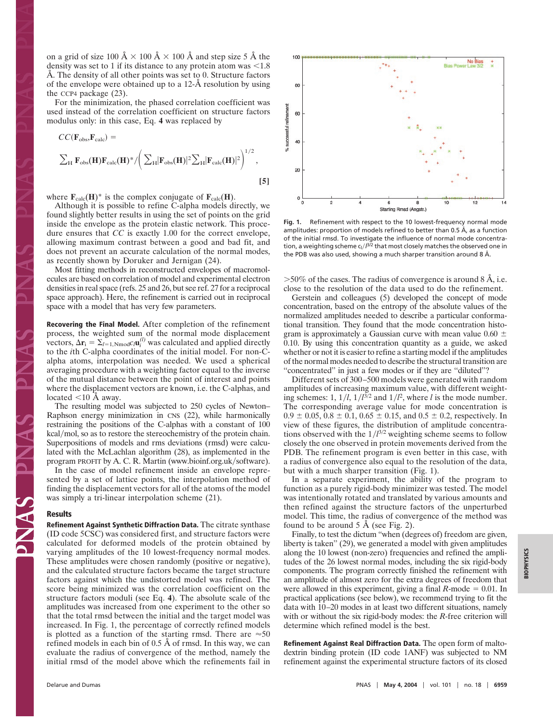on a grid of size 100 Å  $\times$  100 Å  $\times$  100 Å and step size 5 Å the density was set to 1 if its distance to any protein atom was  $\leq 1.8$ Å. The density of all other points was set to 0. Structure factors of the envelope were obtained up to a 12-Å resolution by using the CCP4 package (23).

For the minimization, the phased correlation coefficient was used instead of the correlation coefficient on structure factors modulus only: in this case, Eq. **4** was replaced by

$$
CC(\mathbf{F}_{\rm obs}, \mathbf{F}_{\rm calc}) = \sum_{\rm H} \mathbf{F}_{\rm obs}(\mathbf{H}) \mathbf{F}_{\rm calc}(\mathbf{H})^* / \left( \sum_{\rm H} |\mathbf{F}_{\rm obs}(\mathbf{H})|^2 \sum_{\rm H} |\mathbf{F}_{\rm calc}(\mathbf{H})|^2 \right)^{1/2},
$$
\n[5]

where  $\mathbf{F}_{\text{calc}}(\mathbf{H})^*$  is the complex conjugate of  $\mathbf{F}_{\text{calc}}(\mathbf{H})$ .

Although it is possible to refine C-alpha models directly, we found slightly better results in using the set of points on the grid inside the envelope as the protein elastic network. This procedure ensures that *CC* is exactly 1.00 for the correct envelope, allowing maximum contrast between a good and bad fit, and does not prevent an accurate calculation of the normal modes, as recently shown by Doruker and Jernigan (24).

Most fitting methods in reconstructed envelopes of macromolecules are based on correlation of model and experimental electron densities in real space (refs. 25 and 26, but see ref. 27 for a reciprocal space approach). Here, the refinement is carried out in reciprocal space with a model that has very few parameters.

**Recovering the Final Model.** After completion of the refinement process, the weighted sum of the normal mode displacement vectors,  $\Delta \mathbf{r}_i = \sum_{l=1, N \text{mod}c_l} \mathbf{u}_i^{(l)}$  was calculated and applied directly to the *i*th C-alpha coordinates of the initial model. For non-Calpha atoms, interpolation was needed. We used a spherical averaging procedure with a weighting factor equal to the inverse of the mutual distance between the point of interest and points where the displacement vectors are known, i.e. the C-alphas, and located  $\leq 10$  Å away.

The resulting model was subjected to 250 cycles of Newton– Raphson energy minimization in CNS (22), while harmonically restraining the positions of the C-alphas with a constant of 100 kcal/mol, so as to restore the stereochemistry of the protein chain. Superpositions of models and rms deviations (rmsd) were calculated with the McLachlan algorithm (28), as implemented in the program PROFIT by A. C. R. Martin (www.bioinf.org.uk/software).

In the case of model refinement inside an envelope represented by a set of lattice points, the interpolation method of finding the displacement vectors for all of the atoms of the model was simply a tri-linear interpolation scheme (21).

#### **Results**

**Refinement Against Synthetic Diffraction Data.** The citrate synthase (ID code 5CSC) was considered first, and structure factors were calculated for deformed models of the protein obtained by varying amplitudes of the 10 lowest-frequency normal modes. These amplitudes were chosen randomly (positive or negative), and the calculated structure factors became the target structure factors against which the undistorted model was refined. The score being minimized was the correlation coefficient on the structure factors moduli (see Eq. **4**). The absolute scale of the amplitudes was increased from one experiment to the other so that the total rmsd between the initial and the target model was increased. In Fig. 1, the percentage of correctly refined models is plotted as a function of the starting rmsd. There are  $\approx 50$ refined models in each bin of 0.5 Å of rmsd. In this way, we can evaluate the radius of convergence of the method, namely the initial rmsd of the model above which the refinements fail in



**Fig. 1.** Refinement with respect to the 10 lowest-frequency normal mode amplitudes: proportion of models refined to better than 0.5 Å, as a function of the initial rmsd. To investigate the influence of normal mode concentration, a weighting scheme c<sub>l</sub>/*[<sup>3/2</sup>* that most closely matches the observed one in the PDB was also used, showing a much sharper transition around 8 Å.

 $>50\%$  of the cases. The radius of convergence is around 8 Å, i.e. close to the resolution of the data used to do the refinement.

Gerstein and colleagues (5) developed the concept of mode concentration, based on the entropy of the absolute values of the normalized amplitudes needed to describe a particular conformational transition. They found that the mode concentration histogram is approximately a Gaussian curve with mean value  $0.60 \pm$ 0.10. By using this concentration quantity as a guide, we asked whether or not it is easier to refine a starting model if the amplitudes of the normal modes needed to describe the structural transition are "concentrated" in just a few modes or if they are "diluted"?

Different sets of 300–500 models were generated with random amplitudes of increasing maximum value, with different weighting schemes: 1,  $1/l$ ,  $1/l^{3/2}$  and  $1/l^2$ , where *l* is the mode number. The corresponding average value for mode concentration is  $0.9 \pm 0.05$ ,  $0.8 \pm 0.1$ ,  $0.65 \pm 0.15$ , and  $0.5 \pm 0.2$ , respectively. In view of these figures, the distribution of amplitude concentrations observed with the  $1/l^{3/2}$  weighting scheme seems to follow closely the one observed in protein movements derived from the PDB. The refinement program is even better in this case, with a radius of convergence also equal to the resolution of the data, but with a much sharper transition (Fig. 1).

In a separate experiment, the ability of the program to function as a purely rigid-body minimizer was tested. The model was intentionally rotated and translated by various amounts and then refined against the structure factors of the unperturbed model. This time, the radius of convergence of the method was found to be around 5 Å (see Fig. 2).

Finally, to test the dictum ''when (degrees of) freedom are given, liberty is taken'' (29), we generated a model with given amplitudes along the 10 lowest (non-zero) frequencies and refined the amplitudes of the 26 lowest normal modes, including the six rigid-body components. The program correctly finished the refinement with an amplitude of almost zero for the extra degrees of freedom that were allowed in this experiment, giving a final  $R$ -mode  $= 0.01$ . In practical applications (see below), we recommend trying to fit the data with 10–20 modes in at least two different situations, namely with or without the six rigid-body modes: the *R*-free criterion will determine which refined model is the best.

**Refinement Against Real Diffraction Data.** The open form of maltodextrin binding protein (ID code 1ANF) was subjected to NM refinement against the experimental structure factors of its closed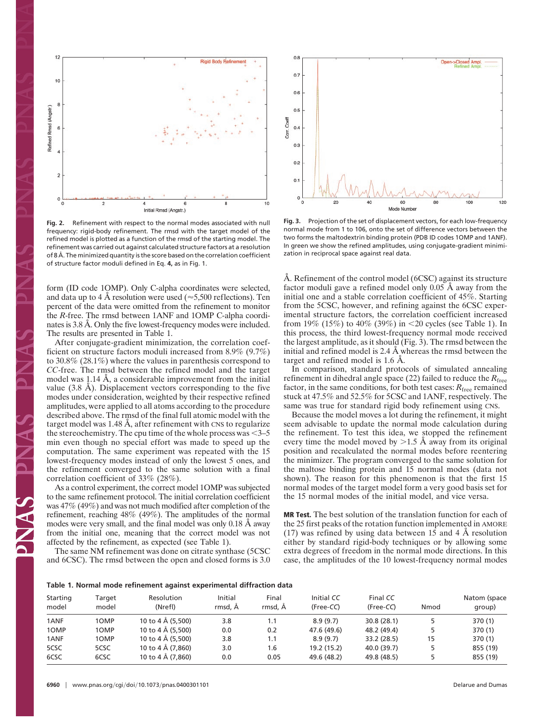

**Fig. 2.** Refinement with respect to the normal modes associated with null frequency: rigid-body refinement. The rmsd with the target model of the refined model is plotted as a function of the rmsd of the starting model. The refinement was carried out against calculated structure factors at a resolution of 8 Å. The minimized quantity is the score based on the correlation coefficient of structure factor moduli defined in Eq. **4,** as in Fig. 1.

form (ID code 1OMP). Only C-alpha coordinates were selected, and data up to 4 Å resolution were used ( $\approx$ 5,500 reflections). Ten percent of the data were omitted from the refinement to monitor the *R*-free. The rmsd between 1ANF and 1OMP C-alpha coordinates is 3.8 Å. Only the five lowest-frequency modes were included. The results are presented in Table 1.

After conjugate-gradient minimization, the correlation coefficient on structure factors moduli increased from 8.9% (9.7%) to 30.8% (28.1%) where the values in parenthesis correspond to *CC*-free. The rmsd between the refined model and the target model was 1.14 Å, a considerable improvement from the initial value (3.8 Å). Displacement vectors corresponding to the five modes under consideration, weighted by their respective refined amplitudes, were applied to all atoms according to the procedure described above. The rmsd of the final full atomic model with the target model was 1.48 Å, after refinement with CNS to regularize the stereochemistry. The cpu time of the whole process was  $<$ 3–5 min even though no special effort was made to speed up the computation. The same experiment was repeated with the 15 lowest-frequency modes instead of only the lowest 5 ones, and the refinement converged to the same solution with a final correlation coefficient of 33% (28%).

As a control experiment, the correct model 1OMP was subjected to the same refinement protocol. The initial correlation coefficient was 47% (49%) and was not much modified after completion of the refinement, reaching 48% (49%). The amplitudes of the normal modes were very small, and the final model was only 0.18 Å away from the initial one, meaning that the correct model was not affected by the refinement, as expected (see Table 1).

The same NM refinement was done on citrate synthase (5CSC and 6CSC). The rmsd between the open and closed forms is 3.0



**Fig. 3.** Projection of the set of displacement vectors, for each low-frequency normal mode from 1 to 106, onto the set of difference vectors between the two forms the maltodextrin binding protein (PDB ID codes 1OMP and 1ANF). In green we show the refined amplitudes, using conjugate-gradient minimization in reciprocal space against real data.

Å. Refinement of the control model (6CSC) against its structure factor moduli gave a refined model only 0.05 Å away from the initial one and a stable correlation coefficient of 45%. Starting from the 5CSC, however, and refining against the 6CSC experimental structure factors, the correlation coefficient increased from 19% (15%) to 40% (39%) in 20 cycles (see Table 1). In this process, the third lowest-frequency normal mode received the largest amplitude, as it should (Fig. 3). The rmsd between the initial and refined model is 2.4 Å whereas the rmsd between the target and refined model is 1.6 Å.

In comparison, standard protocols of simulated annealing refinement in dihedral angle space (22) failed to reduce the *R*<sub>free</sub> factor, in the same conditions, for both test cases:  $R_{\text{free}}$  remained stuck at 47.5% and 52.5% for 5CSC and 1ANF, respectively. The same was true for standard rigid body refinement using CNS.

Because the model moves a lot during the refinement, it might seem advisable to update the normal mode calculation during the refinement. To test this idea, we stopped the refinement every time the model moved by  $>1.5$  Å away from its original position and recalculated the normal modes before reentering the minimizer. The program converged to the same solution for the maltose binding protein and 15 normal modes (data not shown). The reason for this phenomenon is that the first 15 normal modes of the target model form a very good basis set for the 15 normal modes of the initial model, and vice versa.

**MR Test.** The best solution of the translation function for each of the 25 first peaks of the rotation function implemented in AMORE (17) was refined by using data between 15 and 4 Å resolution either by standard rigid-body techniques or by allowing some extra degrees of freedom in the normal mode directions. In this case, the amplitudes of the 10 lowest-frequency normal modes

|  |  | Table 1. Normal mode refinement against experimental diffraction data |  |
|--|--|-----------------------------------------------------------------------|--|
|  |  |                                                                       |  |

| Starting<br>model | Target<br>model | Resolution<br>(Nrefl) | Initial<br>rmsd. Å | Final<br>rmsd. Å | Initial CC<br>$(Free-CC)$ | Final CC<br>$(Free-CC)$ | Nmod | Natom (space<br>group) |
|-------------------|-----------------|-----------------------|--------------------|------------------|---------------------------|-------------------------|------|------------------------|
| 1ANF              | 1OMP            | 10 to 4 Å (5,500)     | 3.8                | 1.1              | 8.9(9.7)                  | 30.8(28.1)              |      | 370 (1)                |
| 10MP              | 1OMP            | 10 to 4 Å (5,500)     | 0.0                | 0.2              | 47.6 (49.6)               | 48.2 (49.4)             |      | 370 (1)                |
| 1ANF              | 1OMP            | 10 to 4 Å (5,500)     | 3.8                | 1.1              | 8.9(9.7)                  | 33.2 (28.5)             | 15   | 370(1)                 |
| 5CSC              | 5CSC            | 10 to 4 Å (7.860)     | 3.0 <sub>1</sub>   | 1.6              | 19.2 (15.2)               | 40.0 (39.7)             |      | 855 (19)               |
| 6CSC              | 6CSC            | 10 to 4 Å (7,860)     | 0.0                | 0.05             | 49.6 (48.2)               | 49.8 (48.5)             |      | 855 (19)               |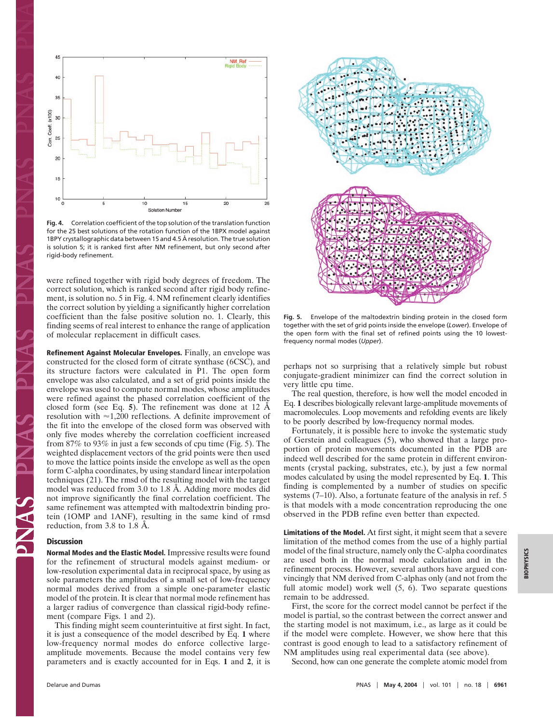

**Fig. 4.** Correlation coefficient of the top solution of the translation function for the 25 best solutions of the rotation function of the 1BPX model against 1BPY crystallographic data between 15 and 4.5 Å resolution. The true solution is solution 5; it is ranked first after NM refinement, but only second after rigid-body refinement.

were refined together with rigid body degrees of freedom. The correct solution, which is ranked second after rigid body refinement, is solution no. 5 in Fig. 4. NM refinement clearly identifies the correct solution by yielding a significantly higher correlation coefficient than the false positive solution no. 1. Clearly, this finding seems of real interest to enhance the range of application of molecular replacement in difficult cases.

**Refinement Against Molecular Envelopes.** Finally, an envelope was constructed for the closed form of citrate synthase (6CSC), and its structure factors were calculated in P1. The open form envelope was also calculated, and a set of grid points inside the envelope was used to compute normal modes, whose amplitudes were refined against the phased correlation coefficient of the closed form (see Eq. **5**). The refinement was done at 12 Å resolution with  $\approx$  1,200 reflections. A definite improvement of the fit into the envelope of the closed form was observed with only five modes whereby the correlation coefficient increased from 87% to 93% in just a few seconds of cpu time (Fig. 5). The weighted displacement vectors of the grid points were then used to move the lattice points inside the envelope as well as the open form C-alpha coordinates, by using standard linear interpolation techniques (21). The rmsd of the resulting model with the target model was reduced from 3.0 to 1.8 Å. Adding more modes did not improve significantly the final correlation coefficient. The same refinement was attempted with maltodextrin binding protein (1OMP and 1ANF), resulting in the same kind of rmsd reduction, from 3.8 to 1.8 Å.

## **Discussion**

**Normal Modes and the Elastic Model.** Impressive results were found for the refinement of structural models against medium- or low-resolution experimental data in reciprocal space, by using as sole parameters the amplitudes of a small set of low-frequency normal modes derived from a simple one-parameter elastic model of the protein. It is clear that normal mode refinement has a larger radius of convergence than classical rigid-body refinement (compare Figs. 1 and 2).

This finding might seem counterintuitive at first sight. In fact, it is just a consequence of the model described by Eq. **1** where low-frequency normal modes do enforce collective largeamplitude movements. Because the model contains very few parameters and is exactly accounted for in Eqs. **1** and **2**, it is



**Fig. 5.** Envelope of the maltodextrin binding protein in the closed form together with the set of grid points inside the envelope (*Lower*). Envelope of the open form with the final set of refined points using the 10 lowestfrequency normal modes (*Upper*).

perhaps not so surprising that a relatively simple but robust conjugate-gradient minimizer can find the correct solution in very little cpu time.

The real question, therefore, is how well the model encoded in Eq. **1** describes biologically relevant large-amplitude movements of macromolecules. Loop movements and refolding events are likely to be poorly described by low-frequency normal modes.

Fortunately, it is possible here to invoke the systematic study of Gerstein and colleagues (5), who showed that a large proportion of protein movements documented in the PDB are indeed well described for the same protein in different environments (crystal packing, substrates, etc.), by just a few normal modes calculated by using the model represented by Eq. **1**. This finding is complemented by a number of studies on specific systems (7–10). Also, a fortunate feature of the analysis in ref. 5 is that models with a mode concentration reproducing the one observed in the PDB refine even better than expected.

**Limitations of the Model.** At first sight, it might seem that a severe limitation of the method comes from the use of a highly partial model of the final structure, namely only the C-alpha coordinates are used both in the normal mode calculation and in the refinement process. However, several authors have argued convincingly that NM derived from C-alphas only (and not from the full atomic model) work well (5, 6). Two separate questions remain to be addressed.

First, the score for the correct model cannot be perfect if the model is partial, so the contrast between the correct answer and the starting model is not maximum, i.e., as large as it could be if the model were complete. However, we show here that this contrast is good enough to lead to a satisfactory refinement of NM amplitudes using real experimental data (see above).

Second, how can one generate the complete atomic model from